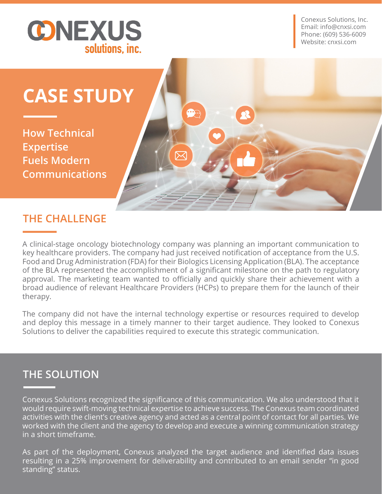

Conexus Solutions, Inc. Email: info@cnxsi.com Phone: (609) 536-6009 Website: cnxsi.com

# **CASE STUDY**

**How Technical Expertise Fuels Modern Communications**

### **THE CHALLENGE**

A clinical-stage oncology biotechnology company was planning an important communication to key healthcare providers. The company had just received notification of acceptance from the U.S. Food and Drug Administration (FDA) for their Biologics Licensing Application (BLA). The acceptance of the BLA represented the accomplishment of a significant milestone on the path to regulatory approval. The marketing team wanted to officially and quickly share their achievement with a broad audience of relevant Healthcare Providers (HCPs) to prepare them for the launch of their therapy.

**O** 

The company did not have the internal technology expertise or resources required to develop and deploy this message in a timely manner to their target audience. They looked to Conexus Solutions to deliver the capabilities required to execute this strategic communication.

# **THE SOLUTION**

Conexus Solutions recognized the significance of this communication. We also understood that it would require swift-moving technical expertise to achieve success. The Conexus team coordinated activities with the client's creative agency and acted as a central point of contact for all parties. We worked with the client and the agency to develop and execute a winning communication strategy in a short timeframe.

As part of the deployment, Conexus analyzed the target audience and identified data issues resulting in a 25% improvement for deliverability and contributed to an email sender "in good standing" status.